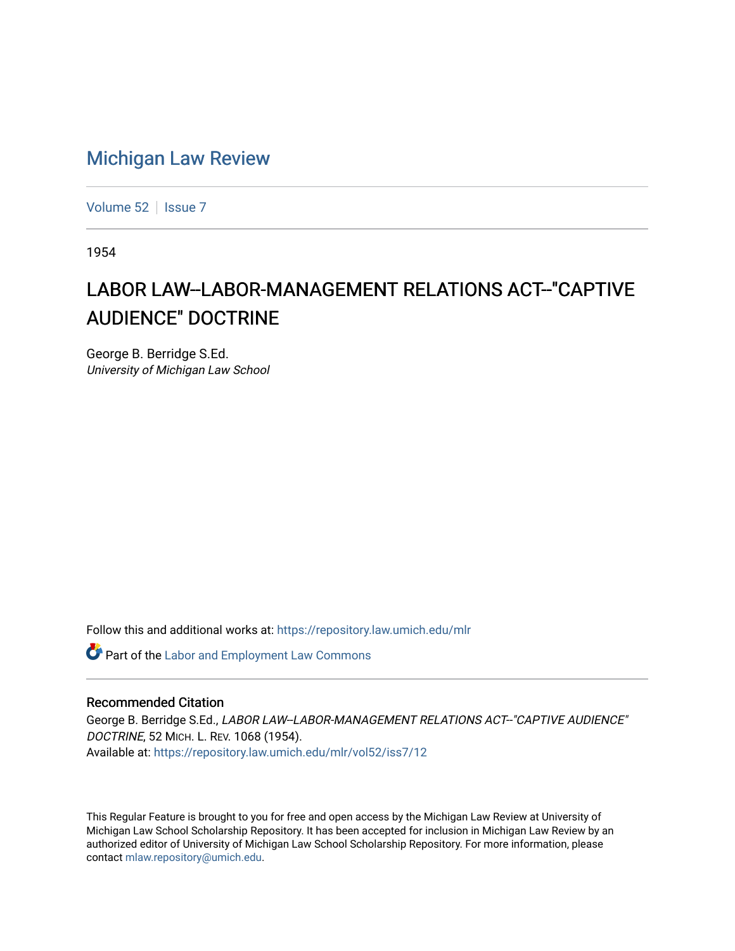## [Michigan Law Review](https://repository.law.umich.edu/mlr)

[Volume 52](https://repository.law.umich.edu/mlr/vol52) | [Issue 7](https://repository.law.umich.edu/mlr/vol52/iss7)

1954

## LABOR LAW--LABOR-MANAGEMENT RELATIONS ACT--"CAPTIVE AUDIENCE" DOCTRINE

George B. Berridge S.Ed. University of Michigan Law School

Follow this and additional works at: [https://repository.law.umich.edu/mlr](https://repository.law.umich.edu/mlr?utm_source=repository.law.umich.edu%2Fmlr%2Fvol52%2Fiss7%2F12&utm_medium=PDF&utm_campaign=PDFCoverPages) 

**Part of the [Labor and Employment Law Commons](http://network.bepress.com/hgg/discipline/909?utm_source=repository.law.umich.edu%2Fmlr%2Fvol52%2Fiss7%2F12&utm_medium=PDF&utm_campaign=PDFCoverPages)** 

## Recommended Citation

George B. Berridge S.Ed., LABOR LAW--LABOR-MANAGEMENT RELATIONS ACT-"CAPTIVE AUDIENCE" DOCTRINE, 52 MICH. L. REV. 1068 (1954). Available at: [https://repository.law.umich.edu/mlr/vol52/iss7/12](https://repository.law.umich.edu/mlr/vol52/iss7/12?utm_source=repository.law.umich.edu%2Fmlr%2Fvol52%2Fiss7%2F12&utm_medium=PDF&utm_campaign=PDFCoverPages) 

This Regular Feature is brought to you for free and open access by the Michigan Law Review at University of Michigan Law School Scholarship Repository. It has been accepted for inclusion in Michigan Law Review by an authorized editor of University of Michigan Law School Scholarship Repository. For more information, please contact [mlaw.repository@umich.edu](mailto:mlaw.repository@umich.edu).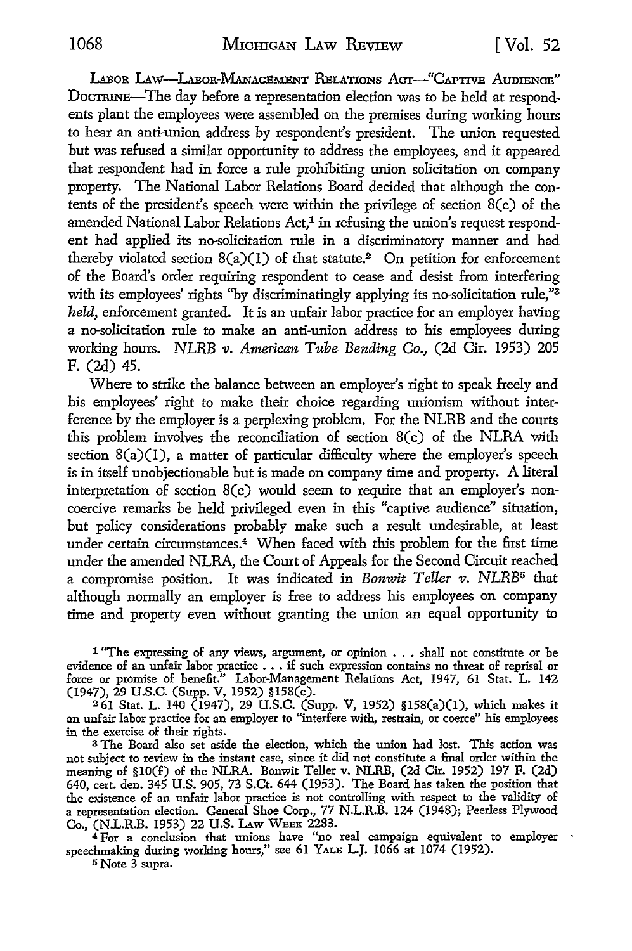LABOR LAW-LABOR-MANAGEMENT RELATIONS ACT-"CAPTIVE AUDIENCE" DoCTRINE-The day before a representation election was to be held at respondents plant the employees were assembled on the premises during working hours to hear an anti-union address by respondent's president. The union requested but was refused a similar opportunity to address the employees, and it appeared that respondent had in force a rule prohibiting union solicitation on company property. The National Labor Relations Board decided that although the contents of the president's speech were within the privilege of section 8(c) of the amended National Labor Relations Act,<sup>1</sup> in refusing the union's request respondent had applied its no-solicitation rule in a discriminatory manner and had thereby violated section  $8(a)(1)$  of that statute.<sup>2</sup> On petition for enforcement of the Board's order requiring respondent to cease and desist from interfering with its employees' rights "by discriminatingly applying its no-solicitation rule,"<sup>3</sup> *held,* enforcement granted. It is an unfair labor practice for an employer having a no-solicitation rule to make an anti-union address to his employees during working hours. *NLRB v. American Tube Bending Co.,* (2d Cir. 1953) 205 F. (2d) 45.

Where to strike the balance between an employer's right to speak freely and his employees' right to make their choice regarding unionism without interference by the employer is a perplexing problem. For the NLRB and the courts this problem involves the reconciliation of section 8(c) of the NLRA with section  $8(a)(1)$ , a matter of particular difficulty where the employer's speech is in itself unobjectionable but is made on company time and property. A literal interpretation of section 8(c) would seem to require that an employer's noncoercive remarks be held privileged even in this "captive audience" situation, but policy considerations probably make such a result undesirable, at least under certain circumstances.4 When faced with this problem for the first time under the amended NLRA, the Court of Appeals for the Second Circuit reached a compromise position. It was indicated in *Bonwit Teller v. NLRB*<sup>5</sup> that although normally an employer is free to address his employees on company time and property even without granting the union an equal opportunity to

1 "The expressing of any views, argument, or opinion . . . shall not constitute or be evidence of an unfair labor practice . . . if such expression contains no threat of reprisal or force or promise of benefit.'' Labor-Management Relations Act, 1947, 61 Stat. L. 142 (1947), 29 U.S.C. (Supp. V, 1952) §l58(c).

<sup>2</sup>61 Stat. L. 140 (1947), 29 U.S.C. (Supp. V, 1952) §158(a)(l), which makes it an unfair labor practice for an employer to "interfere with, restrain, or coerce" his employees in the exercise of their rights.

<sup>3</sup>The Board also set aside the election, which the union had lost. This action was not subject to review in the instant case, since it did not constitute a final order within the meaning of §IO(f) of the NLRA. Bonwit Teller v. NLRB, (2d Cir. 1952) 197 F. (2d) 640, cert. den. 345 U.S. 905, 73 S.Ct. 644 (1953). The Board has taken the position that the existence of an unfair labor practice is not controlling with respect to the validity of a representation election. General Shoe Corp., 77 N.L.R.B. 124 (1948); Peerless Plywood Co., (N.L.R.B. 1953) 22 **U.S.** LAw WEEK 2283.

<sup>4</sup>For a conclusion that unions have "no real campaign equivalent to employer speechmaking during working hours," see 61 YALE L.J. 1066 at 1074 (1952).

5 Note 3 supra.